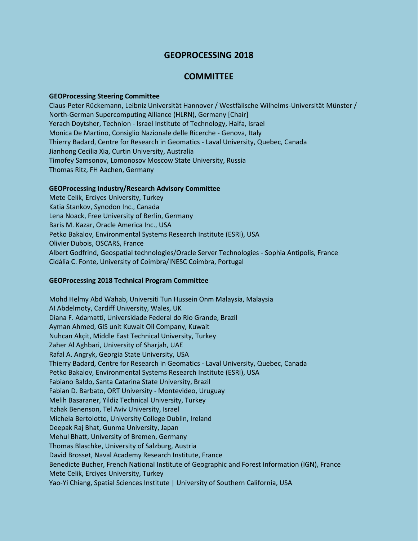# **GEOPROCESSING 2018**

## **COMMITTEE**

#### **GEOProcessing Steering Committee**

Claus-Peter Rückemann, Leibniz Universität Hannover / Westfälische Wilhelms-Universität Münster / North-German Supercomputing Alliance (HLRN), Germany [Chair] Yerach Doytsher, Technion - Israel Institute of Technology, Haifa, Israel Monica De Martino, Consiglio Nazionale delle Ricerche - Genova, Italy Thierry Badard, Centre for Research in Geomatics - Laval University, Quebec, Canada Jianhong Cecilia Xia, Curtin University, Australia Timofey Samsonov, Lomonosov Moscow State University, Russia Thomas Ritz, FH Aachen, Germany

### **GEOProcessing Industry/Research Advisory Committee**

Mete Celik, Erciyes University, Turkey Katia Stankov, Synodon Inc., Canada Lena Noack, Free University of Berlin, Germany Baris M. Kazar, Oracle America Inc., USA Petko Bakalov, Environmental Systems Research Institute (ESRI), USA Olivier Dubois, OSCARS, France Albert Godfrind, Geospatial technologies/Oracle Server Technologies - Sophia Antipolis, France Cidália C. Fonte, University of Coimbra/INESC Coimbra, Portugal

#### **GEOProcessing 2018 Technical Program Committee**

Mohd Helmy Abd Wahab, Universiti Tun Hussein Onm Malaysia, Malaysia AI Abdelmoty, Cardiff University, Wales, UK Diana F. Adamatti, Universidade Federal do Rio Grande, Brazil Ayman Ahmed, GIS unit Kuwait Oil Company, Kuwait Nuhcan Akçit, Middle East Technical University, Turkey Zaher Al Aghbari, University of Sharjah, UAE Rafal A. Angryk, Georgia State University, USA Thierry Badard, Centre for Research in Geomatics - Laval University, Quebec, Canada Petko Bakalov, Environmental Systems Research Institute (ESRI), USA Fabiano Baldo, Santa Catarina State University, Brazil Fabian D. Barbato, ORT University - Montevideo, Uruguay Melih Basaraner, Yildiz Technical University, Turkey Itzhak Benenson, Tel Aviv University, Israel Michela Bertolotto, University College Dublin, Ireland Deepak Raj Bhat, Gunma University, Japan Mehul Bhatt, University of Bremen, Germany Thomas Blaschke, University of Salzburg, Austria David Brosset, Naval Academy Research Institute, France Benedicte Bucher, French National Institute of Geographic and Forest Information (IGN), France Mete Celik, Erciyes University, Turkey Yao-Yi Chiang, Spatial Sciences Institute | University of Southern California, USA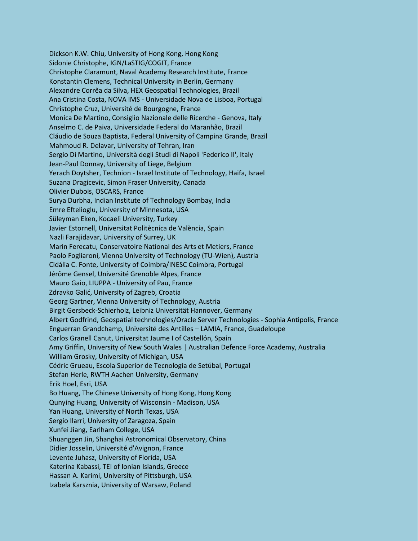Dickson K.W. Chiu, University of Hong Kong, Hong Kong Sidonie Christophe, IGN/LaSTIG/COGIT, France Christophe Claramunt, Naval Academy Research Institute, France Konstantin Clemens, Technical University in Berlin, Germany Alexandre Corrêa da Silva, HEX Geospatial Technologies, Brazil Ana Cristina Costa, NOVA IMS - Universidade Nova de Lisboa, Portugal Christophe Cruz, Université de Bourgogne, France Monica De Martino, Consiglio Nazionale delle Ricerche - Genova, Italy Anselmo C. de Paiva, Universidade Federal do Maranhão, Brazil Cláudio de Souza Baptista, Federal University of Campina Grande, Brazil Mahmoud R. Delavar, University of Tehran, Iran Sergio Di Martino, Università degli Studi di Napoli 'Federico II', Italy Jean-Paul Donnay, University of Liege, Belgium Yerach Doytsher, Technion - Israel Institute of Technology, Haifa, Israel Suzana Dragicevic, Simon Fraser University, Canada Olivier Dubois, OSCARS, France Surya Durbha, Indian Institute of Technology Bombay, India Emre Eftelioglu, University of Minnesota, USA Süleyman Eken, Kocaeli University, Turkey Javier Estornell, Universitat Politècnica de València, Spain Nazli Farajidavar, University of Surrey, UK Marin Ferecatu, Conservatoire National des Arts et Metiers, France Paolo Fogliaroni, Vienna University of Technology (TU-Wien), Austria Cidália C. Fonte, University of Coimbra/INESC Coimbra, Portugal Jérôme Gensel, Université Grenoble Alpes, France Mauro Gaio, LIUPPA - University of Pau, France Zdravko Galić, University of Zagreb, Croatia Georg Gartner, Vienna University of Technology, Austria Birgit Gersbeck-Schierholz, Leibniz Universität Hannover, Germany Albert Godfrind, Geospatial technologies/Oracle Server Technologies - Sophia Antipolis, France Enguerran Grandchamp, Université des Antilles – LAMIA, France, Guadeloupe Carlos Granell Canut, Universitat Jaume I of Castellón, Spain Amy Griffin, University of New South Wales | Australian Defence Force Academy, Australia William Grosky, University of Michigan, USA Cédric Grueau, Escola Superior de Tecnologia de Setúbal, Portugal Stefan Herle, RWTH Aachen University, Germany Erik Hoel, Esri, USA Bo Huang, The Chinese University of Hong Kong, Hong Kong Qunying Huang, University of Wisconsin - Madison, USA Yan Huang, University of North Texas, USA Sergio Ilarri, University of Zaragoza, Spain Xunfei Jiang, Earlham College, USA Shuanggen Jin, Shanghai Astronomical Observatory, China Didier Josselin, Université d'Avignon, France Levente Juhasz, University of Florida, USA Katerina Kabassi, TEI of Ionian Islands, Greece Hassan A. Karimi, University of Pittsburgh, USA Izabela Karsznia, University of Warsaw, Poland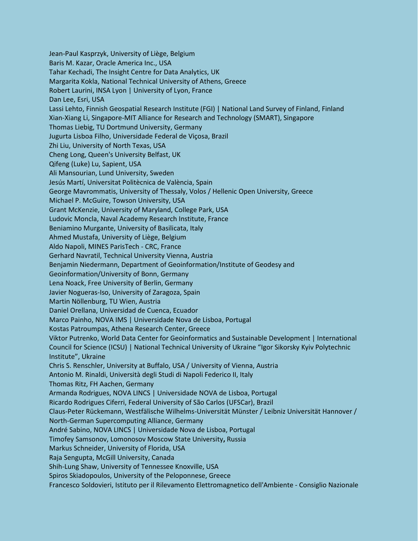Jean-Paul Kasprzyk, University of Liège, Belgium Baris M. Kazar, Oracle America Inc., USA Tahar Kechadi, The Insight Centre for Data Analytics, UK Margarita Kokla, National Technical University of Athens, Greece Robert Laurini, INSA Lyon | University of Lyon, France Dan Lee, Esri, USA Lassi Lehto, Finnish Geospatial Research Institute (FGI) | National Land Survey of Finland, Finland Xian-Xiang Li, Singapore-MIT Alliance for Research and Technology (SMART), Singapore Thomas Liebig, TU Dortmund University, Germany Jugurta Lisboa Filho, Universidade Federal de Viçosa, Brazil Zhi Liu, University of North Texas, USA Cheng Long, Queen's University Belfast, UK Qifeng (Luke) Lu, Sapient, USA Ali Mansourian, Lund University, Sweden Jesús Martí, Universitat Politècnica de València, Spain George Mavrommatis, University of Thessaly, Volos / Hellenic Open University, Greece Michael P. McGuire, Towson University, USA Grant McKenzie, University of Maryland, College Park, USA Ludovic Moncla, Naval Academy Research Institute, France Beniamino Murgante, University of Basilicata, Italy Ahmed Mustafa, University of Liège, Belgium Aldo Napoli, MINES ParisTech - CRC, France Gerhard Navratil, Technical University Vienna, Austria Benjamin Niedermann, Department of Geoinformation/Institute of Geodesy and Geoinformation/University of Bonn, Germany Lena Noack, Free University of Berlin, Germany Javier Nogueras-Iso, University of Zaragoza, Spain Martin Nöllenburg, TU Wien, Austria Daniel Orellana, Universidad de Cuenca, Ecuador Marco Painho, NOVA IMS | Universidade Nova de Lisboa, Portugal Kostas Patroumpas, Athena Research Center, Greece Viktor Putrenko, World Data Center for Geoinformatics and Sustainable Development | International Council for Science (ICSU) | National Technical University of Ukraine "Igor Sikorsky Kyiv Polytechnic Institute", Ukraine Chris S. Renschler, University at Buffalo, USA / University of Vienna, Austria Antonio M. Rinaldi, Università degli Studi di Napoli Federico II, Italy Thomas Ritz, FH Aachen, Germany Armanda Rodrigues, NOVA LINCS | Universidade NOVA de Lisboa, Portugal Ricardo Rodrigues Ciferri, Federal University of São Carlos (UFSCar), Brazil Claus-Peter Rückemann, Westfälische Wilhelms-Universität Münster / Leibniz Universität Hannover / North-German Supercomputing Alliance, Germany André Sabino, NOVA LINCS | Universidade Nova de Lisboa, Portugal Timofey Samsonov, Lomonosov Moscow State University**,** Russia Markus Schneider, University of Florida, USA Raja Sengupta, McGill University, Canada Shih-Lung Shaw, University of Tennessee Knoxville, USA Spiros Skiadopoulos, University of the Peloponnese, Greece Francesco Soldovieri, Istituto per il Rilevamento Elettromagnetico dell'Ambiente - Consiglio Nazionale